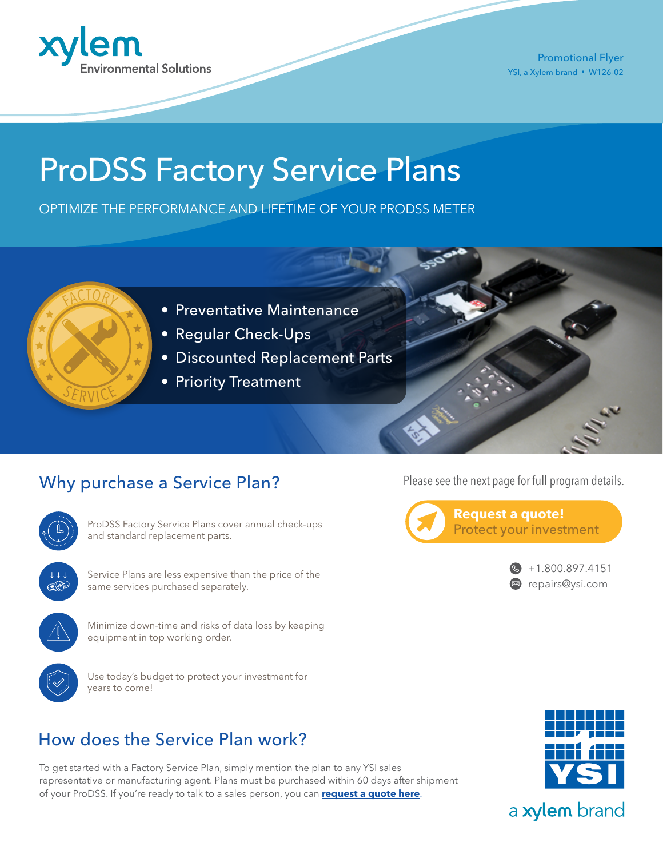

Promotional Flyer YSI, a Xylem brand • W126-02

# ProDSS Factory Service Plans

OPTIMIZE THE PERFORMANCE AND LIFETIME OF YOUR PRODSS METER



- Preventative Maintenance
- Regular Check-Ups
- Discounted Replacement Parts
- Priority Treatment

## Why purchase a Service Plan?



ProDSS Factory Service Plans cover annual check-ups and standard replacement parts.



Service Plans are less expensive than the price of the same services purchased separately.



Minimize down-time and risks of data loss by keeping equipment in top working order.



Use today's budget to protect your investment for years to come!

# How does the Service Plan work?

To get started with a Factory Service Plan, simply mention the plan to any YSI sales representative or manufacturing agent. Plans must be purchased within 60 days after shipment of your ProDSS. If you're ready to talk to a sales person, you can **[request a quote here](https://www.ysi.com/request-a-quote)**.



# a xylem brand

Please see the next page for full program details.

Protect your investment

**Request a quote!**



 $\bullet$  +1.800.897.4151 ■ [repairs@ysi.com](mailto:info%40ysi.com?subject=I%20am%20interested%20in%20your%20ProDSS%20Factory%20Service%20Plans)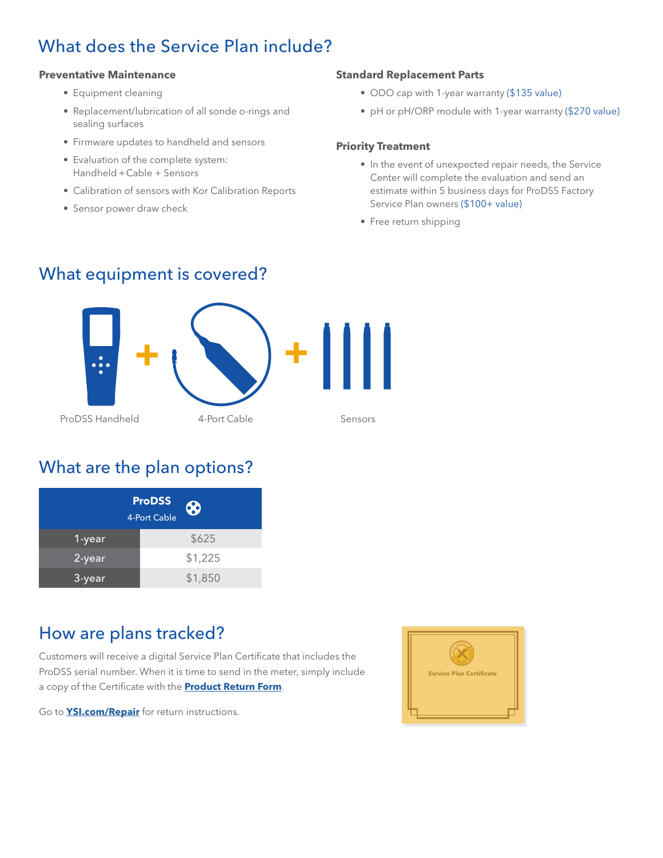## What does the Service Plan include?

#### **Preventative Maintenance**

- Equipment cleaning
- Replacement/lubrication of all sonde o-rings and sealing surfaces
- Firmware updates to handheld and sensors
- Evaluation of the complete system: Handheld + Cable + Sensors
- Calibration of sensors with Kor Calibration Reports
- Sensor power draw check

#### **Standard Replacement Parts**

- ODO cap with 1-year warranty (\$135 value)
- pH or pH/ORP module with 1-year warranty (\$270 value)

#### **Priority Treatment**

- In the event of unexpected repair needs, the Service Center will complete the evaluation and send an estimate within 5 business days for ProDSS Factory Service Plan owners (\$100+ value)
- Free return shipping

### What equipment is covered?



### What are the plan options?

|           | <b>ProDSS</b><br>8<br>4-Port Cable |
|-----------|------------------------------------|
| 1-year    | \$625                              |
| 2-year    | \$1,225                            |
| $3$ -year | \$1,850                            |

### How are plans tracked?

Customers will receive a digital Service Plan Certificate that includes the ProDSS serial number. When it is time to send in the meter, simply include a copy of the Certificate with the **[Product Return Form](https://www.ysi.com/File%20Library/Documents/Repair-related/Product-Return-Form-RevH.pdf)**.